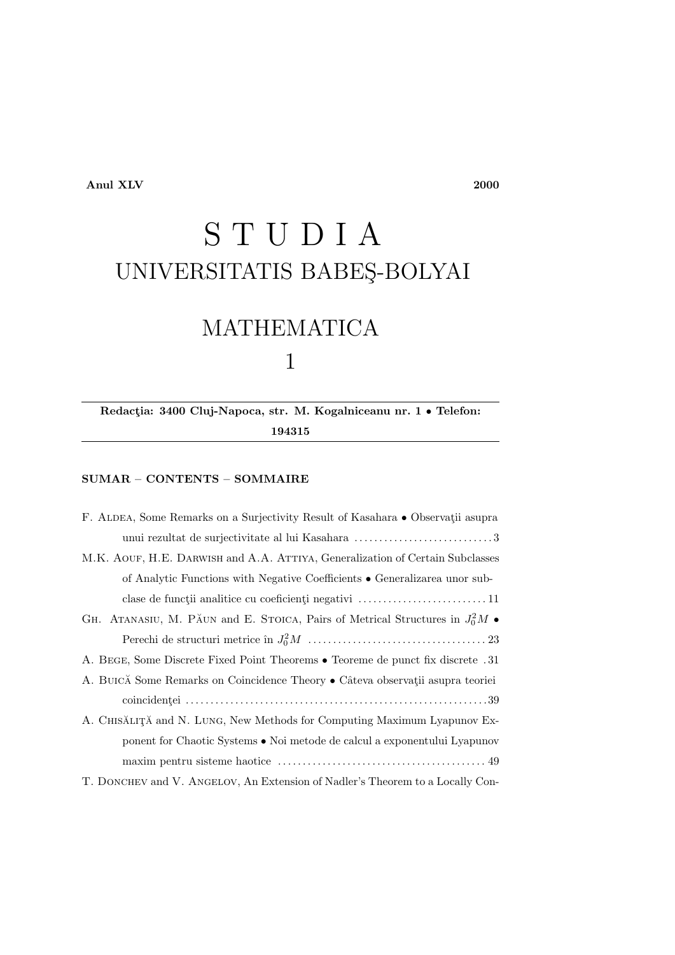Anul XLV 2000

## S T U D I A UNIVERSITATIS BABES¸-BOLYAI

## MATHEMATICA 1

Redacția: 3400 Cluj-Napoca, str. M. Kogalniceanu nr. 1 • Telefon: 194315

## SUMAR – CONTENTS – SOMMAIRE

| F. ALDEA, Some Remarks on a Surjectivity Result of Kasahara • Observatii asupra |
|---------------------------------------------------------------------------------|
|                                                                                 |
| M.K. AOUF, H.E. DARWISH and A.A. ATTIYA, Generalization of Certain Subclasses   |
| of Analytic Functions with Negative Coefficients • Generalizarea unor sub-      |
|                                                                                 |
| GH. ATANASIU, M. PĂUN and E. STOICA, Pairs of Metrical Structures in $J_0^2M$ • |
|                                                                                 |
| A. BEGE, Some Discrete Fixed Point Theorems • Teoreme de punct fix discrete .31 |
| A. BUICĂ Some Remarks on Coincidence Theory • Câteva observații asupra teoriei  |
|                                                                                 |
| A. CHISĂLIȚĂ and N. LUNG, New Methods for Computing Maximum Lyapunov Ex-        |
| ponent for Chaotic Systems • Noi metode de calcul a exponentului Lyapunov       |
|                                                                                 |
| T. DONCHEV and V. ANGELOV, An Extension of Nadler's Theorem to a Locally Con-   |